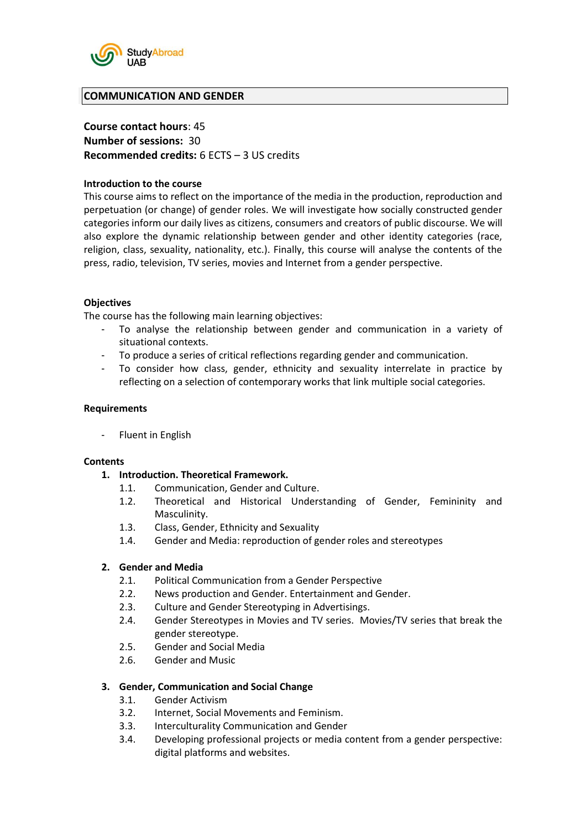

## **COMMUNICATION AND GENDER**

## **Course contact hours**: 45

**Number of sessions:** 30 **Recommended credits:** 6 ECTS – 3 US credits

## **Introduction to the course**

This course aims to reflect on the importance of the media in the production, reproduction and perpetuation (or change) of gender roles. We will investigate how socially constructed gender categories inform our daily lives as citizens, consumers and creators of public discourse. We will also explore the dynamic relationship between gender and other identity categories (race, religion, class, sexuality, nationality, etc.). Finally, this course will analyse the contents of the press, radio, television, TV series, movies and Internet from a gender perspective.

## **Objectives**

The course has the following main learning objectives:

- To analyse the relationship between gender and communication in a variety of situational contexts.
- To produce a series of critical reflections regarding gender and communication.
- To consider how class, gender, ethnicity and sexuality interrelate in practice by reflecting on a selection of contemporary works that link multiple social categories.

## **Requirements**

- Fluent in English

#### **Contents**

- **1. Introduction. Theoretical Framework.**
	- 1.1. Communication, Gender and Culture.
	- 1.2. Theoretical and Historical Understanding of Gender, Femininity and Masculinity.
	- 1.3. Class, Gender, Ethnicity and Sexuality
	- 1.4. Gender and Media: reproduction of gender roles and stereotypes

#### **2. Gender and Media**

- 2.1. Political Communication from a Gender Perspective
- 2.2. News production and Gender. Entertainment and Gender.
- 2.3. Culture and Gender Stereotyping in Advertisings.
- 2.4. Gender Stereotypes in Movies and TV series. Movies/TV series that break the gender stereotype.
- 2.5. Gender and Social Media
- 2.6. Gender and Music

### **3. Gender, Communication and Social Change**

- 3.1. Gender Activism
- 3.2. Internet, Social Movements and Feminism.
- 3.3. Interculturality Communication and Gender
- 3.4. Developing professional projects or media content from a gender perspective: digital platforms and websites.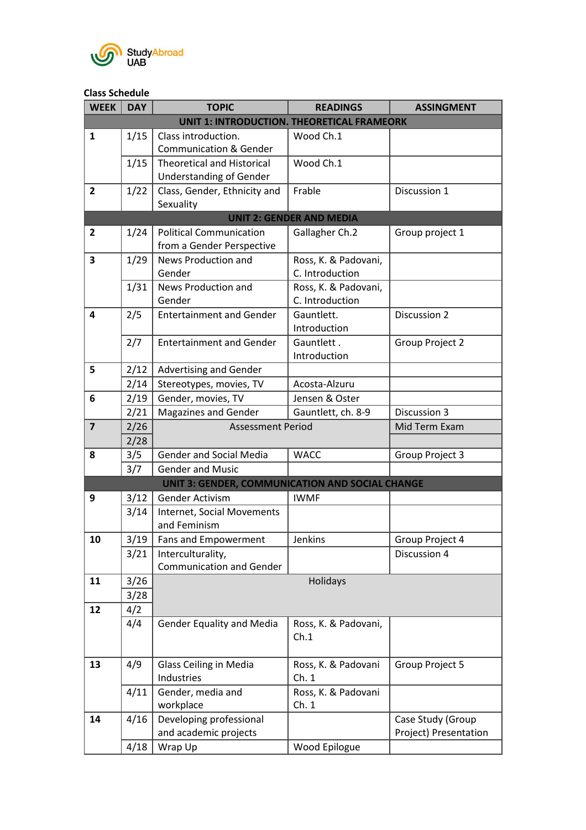

# **Class Schedule**

| <b>WEEK</b>    | <b>DAY</b> | <b>TOPIC</b>                                           | <b>READINGS</b>                 | <b>ASSINGMENT</b>     |
|----------------|------------|--------------------------------------------------------|---------------------------------|-----------------------|
|                |            | <b>UNIT 1: INTRODUCTION. THEORETICAL FRAMEORK</b>      |                                 |                       |
| $\mathbf{1}$   | 1/15       | Class introduction.                                    | Wood Ch.1                       |                       |
|                |            | <b>Communication &amp; Gender</b>                      |                                 |                       |
|                | 1/15       | <b>Theoretical and Historical</b>                      | Wood Ch.1                       |                       |
|                |            | <b>Understanding of Gender</b>                         |                                 |                       |
| $\mathbf{2}$   | 1/22       | Class, Gender, Ethnicity and                           | Frable                          | Discussion 1          |
|                |            | Sexuality                                              |                                 |                       |
|                |            |                                                        | <b>UNIT 2: GENDER AND MEDIA</b> |                       |
| 2              | 1/24       | <b>Political Communication</b>                         | Gallagher Ch.2                  | Group project 1       |
|                |            | from a Gender Perspective                              |                                 |                       |
| 3              | 1/29       | News Production and                                    | Ross, K. & Padovani,            |                       |
|                |            | Gender                                                 | C. Introduction                 |                       |
|                | 1/31       | News Production and                                    | Ross, K. & Padovani,            |                       |
|                |            | Gender                                                 | C. Introduction                 |                       |
| 4              | 2/5        | <b>Entertainment and Gender</b>                        | Gauntlett.                      | Discussion 2          |
|                |            |                                                        | Introduction                    |                       |
|                | 2/7        | <b>Entertainment and Gender</b>                        | Gauntlett.                      | Group Project 2       |
|                |            |                                                        | Introduction                    |                       |
| 5              | 2/12       | <b>Advertising and Gender</b>                          |                                 |                       |
|                | 2/14       | Stereotypes, movies, TV                                | Acosta-Alzuru                   |                       |
| 6              | 2/19       | Gender, movies, TV                                     | Jensen & Oster                  |                       |
|                | 2/21       | <b>Magazines and Gender</b>                            | Gauntlett, ch. 8-9              | Discussion 3          |
| $\overline{7}$ | 2/26       | <b>Assessment Period</b>                               |                                 | Mid Term Exam         |
|                | 2/28       |                                                        |                                 |                       |
| 8              | 3/5        | <b>Gender and Social Media</b>                         | <b>WACC</b>                     | Group Project 3       |
|                | 3/7        | <b>Gender and Music</b>                                |                                 |                       |
|                |            | <b>UNIT 3: GENDER, COMMUNICATION AND SOCIAL CHANGE</b> |                                 |                       |
| 9              | 3/12       | <b>Gender Activism</b>                                 | <b>IWMF</b>                     |                       |
|                | 3/14       | Internet, Social Movements                             |                                 |                       |
|                |            | and Feminism                                           |                                 |                       |
| 10             | 3/19       | Fans and Empowerment                                   | <b>Jenkins</b>                  | Group Project 4       |
|                | 3/21       | Interculturality,                                      |                                 | Discussion 4          |
| 11             |            | <b>Communication and Gender</b>                        | Holidays                        |                       |
|                | 3/26       |                                                        |                                 |                       |
| 12             | 3/28       |                                                        |                                 |                       |
|                | 4/2        |                                                        |                                 |                       |
|                | 4/4        | <b>Gender Equality and Media</b>                       | Ross, K. & Padovani,<br>Ch.1    |                       |
|                |            |                                                        |                                 |                       |
| 13             | 4/9        | <b>Glass Ceiling in Media</b>                          | Ross, K. & Padovani             | Group Project 5       |
|                |            | Industries                                             | Ch.1                            |                       |
|                | 4/11       | Gender, media and                                      | Ross, K. & Padovani             |                       |
|                |            | workplace                                              | Ch.1                            |                       |
| 14             | 4/16       | Developing professional                                |                                 | Case Study (Group     |
|                |            | and academic projects                                  |                                 | Project) Presentation |
|                | 4/18       | Wrap Up                                                | Wood Epilogue                   |                       |
|                |            |                                                        |                                 |                       |